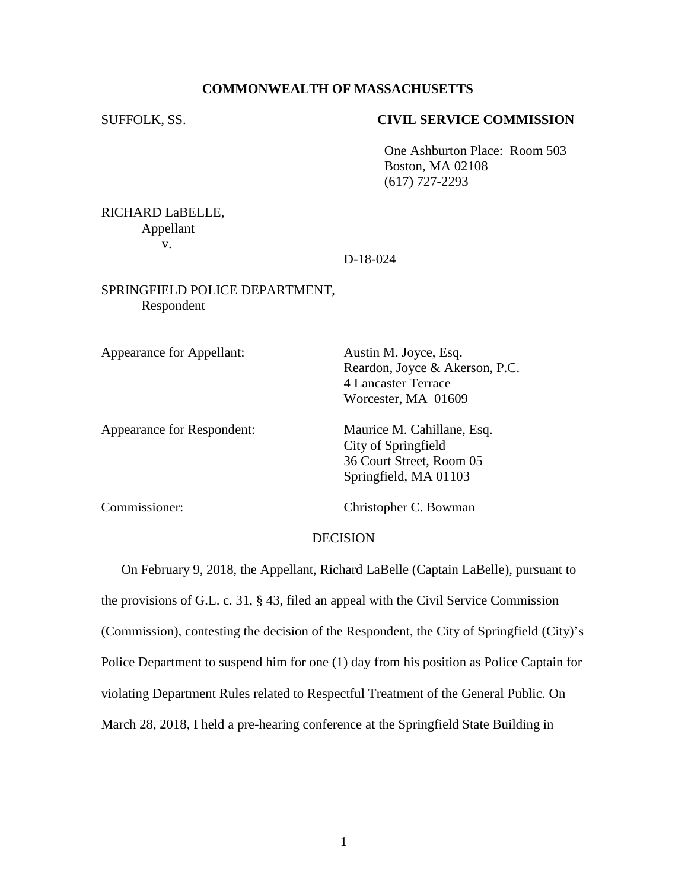## **COMMONWEALTH OF MASSACHUSETTS**

### SUFFOLK, SS. **CIVIL SERVICE COMMISSION**

One Ashburton Place: Room 503 Boston, MA 02108 (617) 727-2293

RICHARD LaBELLE, Appellant v.

## D-18-024

## SPRINGFIELD POLICE DEPARTMENT, Respondent

Appearance for Appellant: Austin M. Joyce, Esq.

Reardon, Joyce & Akerson, P.C. 4 Lancaster Terrace Worcester, MA 01609

Appearance for Respondent: Maurice M. Cahillane, Esq.

City of Springfield 36 Court Street, Room 05 Springfield, MA 01103

Commissioner: Christopher C. Bowman

## DECISION

On February 9, 2018, the Appellant, Richard LaBelle (Captain LaBelle), pursuant to the provisions of G.L. c. 31, § 43, filed an appeal with the Civil Service Commission (Commission), contesting the decision of the Respondent, the City of Springfield (City)'s Police Department to suspend him for one (1) day from his position as Police Captain for violating Department Rules related to Respectful Treatment of the General Public. On March 28, 2018, I held a pre-hearing conference at the Springfield State Building in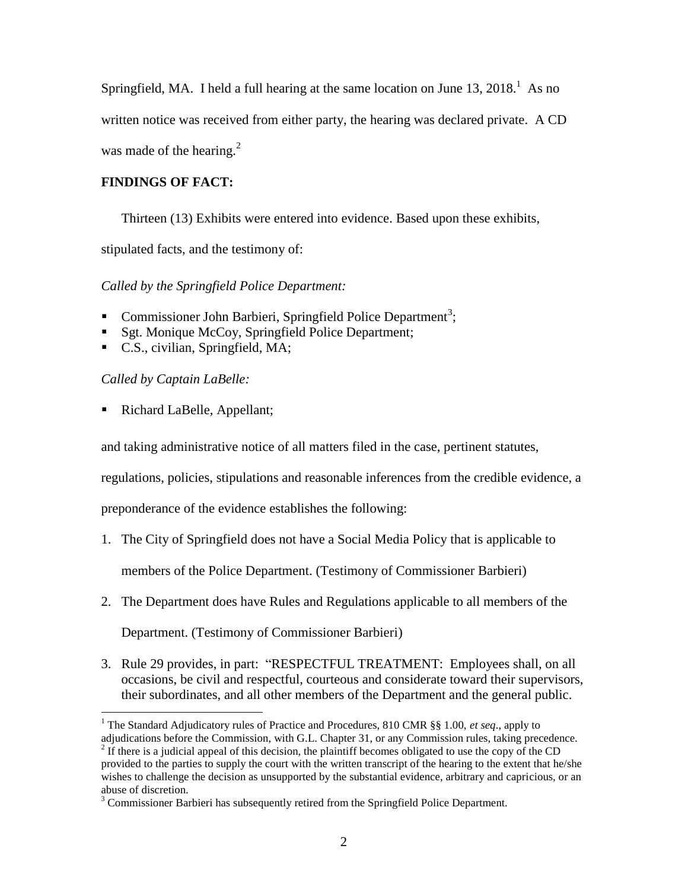Springfield, MA. I held a full hearing at the same location on June  $13, 2018$ .<sup>1</sup> As no

written notice was received from either party, the hearing was declared private. A CD

was made of the hearing. $2$ 

# **FINDINGS OF FACT:**

Thirteen (13) Exhibits were entered into evidence. Based upon these exhibits,

stipulated facts, and the testimony of:

*Called by the Springfield Police Department:*

- Commissioner John Barbieri, Springfield Police Department<sup>3</sup>;
- Sgt. Monique McCoy, Springfield Police Department;
- C.S., civilian, Springfield, MA;

*Called by Captain LaBelle:*

■ Richard LaBelle, Appellant;

and taking administrative notice of all matters filed in the case, pertinent statutes,

regulations, policies, stipulations and reasonable inferences from the credible evidence, a

preponderance of the evidence establishes the following:

- 1. The City of Springfield does not have a Social Media Policy that is applicable to members of the Police Department. (Testimony of Commissioner Barbieri)
- 2. The Department does have Rules and Regulations applicable to all members of the

Department. (Testimony of Commissioner Barbieri)

3. Rule 29 provides, in part: "RESPECTFUL TREATMENT: Employees shall, on all occasions, be civil and respectful, courteous and considerate toward their supervisors, their subordinates, and all other members of the Department and the general public.

 $\overline{a}$ <sup>1</sup> The Standard Adjudicatory rules of Practice and Procedures, 810 CMR §§ 1.00, *et seq*., apply to adjudications before the Commission, with G.L. Chapter 31, or any Commission rules, taking precedence.

 $2<sup>2</sup>$  If there is a judicial appeal of this decision, the plaintiff becomes obligated to use the copy of the CD

provided to the parties to supply the court with the written transcript of the hearing to the extent that he/she wishes to challenge the decision as unsupported by the substantial evidence, arbitrary and capricious, or an abuse of discretion.

 $3$  Commissioner Barbieri has subsequently retired from the Springfield Police Department.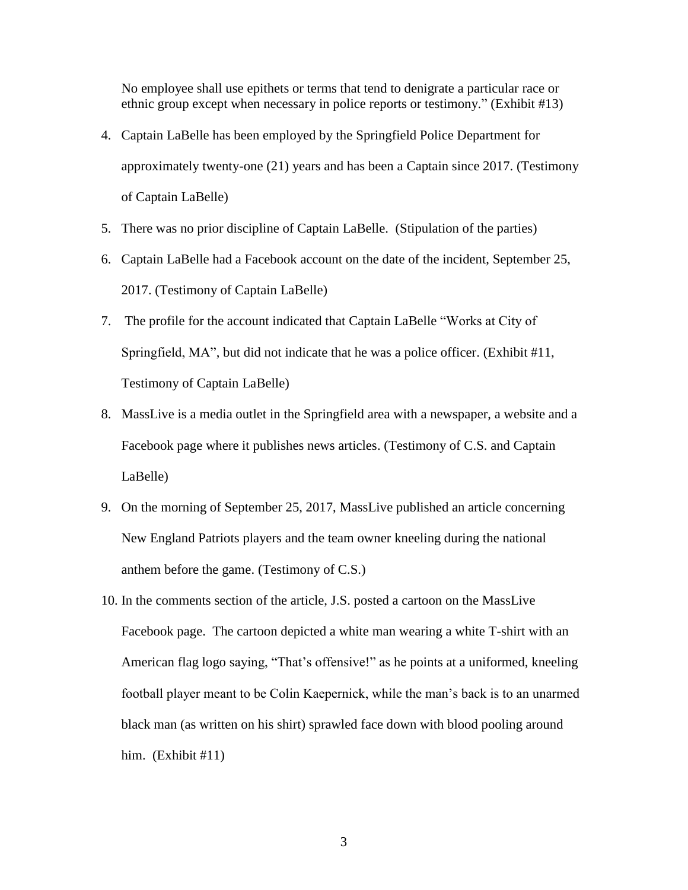No employee shall use epithets or terms that tend to denigrate a particular race or ethnic group except when necessary in police reports or testimony." (Exhibit #13)

- 4. Captain LaBelle has been employed by the Springfield Police Department for approximately twenty-one (21) years and has been a Captain since 2017. (Testimony of Captain LaBelle)
- 5. There was no prior discipline of Captain LaBelle. (Stipulation of the parties)
- 6. Captain LaBelle had a Facebook account on the date of the incident, September 25, 2017. (Testimony of Captain LaBelle)
- 7. The profile for the account indicated that Captain LaBelle "Works at City of Springfield, MA", but did not indicate that he was a police officer. (Exhibit #11, Testimony of Captain LaBelle)
- 8. MassLive is a media outlet in the Springfield area with a newspaper, a website and a Facebook page where it publishes news articles. (Testimony of C.S. and Captain LaBelle)
- 9. On the morning of September 25, 2017, MassLive published an article concerning New England Patriots players and the team owner kneeling during the national anthem before the game. (Testimony of C.S.)
- 10. In the comments section of the article, J.S. posted a cartoon on the MassLive Facebook page. The cartoon depicted a white man wearing a white T-shirt with an American flag logo saying, "That's offensive!" as he points at a uniformed, kneeling football player meant to be Colin Kaepernick, while the man's back is to an unarmed black man (as written on his shirt) sprawled face down with blood pooling around him. (Exhibit #11)

3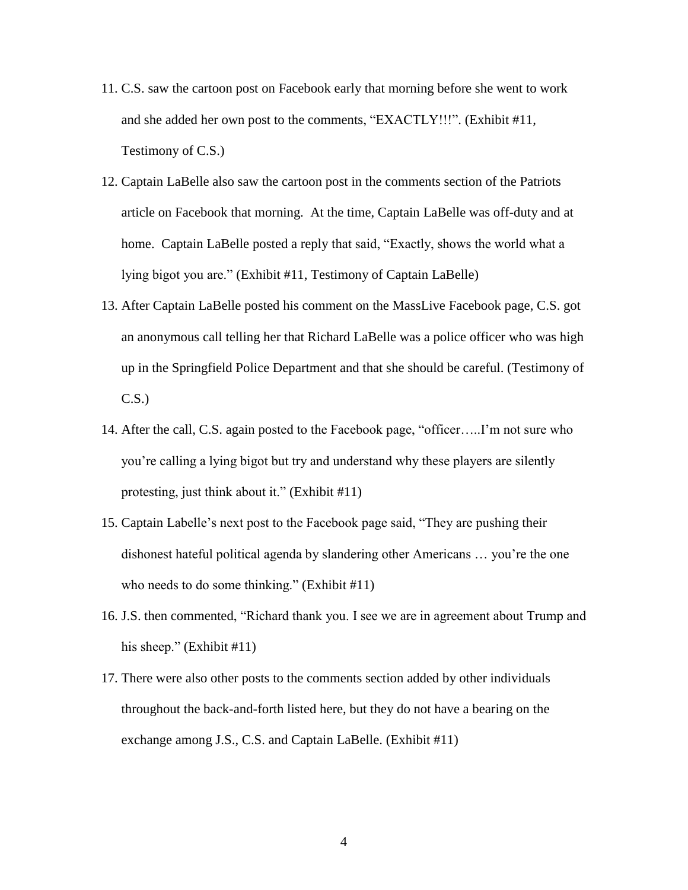- 11. C.S. saw the cartoon post on Facebook early that morning before she went to work and she added her own post to the comments, "EXACTLY!!!". (Exhibit #11, Testimony of C.S.)
- 12. Captain LaBelle also saw the cartoon post in the comments section of the Patriots article on Facebook that morning. At the time, Captain LaBelle was off-duty and at home. Captain LaBelle posted a reply that said, "Exactly, shows the world what a lying bigot you are." (Exhibit #11, Testimony of Captain LaBelle)
- 13. After Captain LaBelle posted his comment on the MassLive Facebook page, C.S. got an anonymous call telling her that Richard LaBelle was a police officer who was high up in the Springfield Police Department and that she should be careful. (Testimony of C.S.)
- 14. After the call, C.S. again posted to the Facebook page, "officer…..I'm not sure who you're calling a lying bigot but try and understand why these players are silently protesting, just think about it." (Exhibit #11)
- 15. Captain Labelle's next post to the Facebook page said, "They are pushing their dishonest hateful political agenda by slandering other Americans … you're the one who needs to do some thinking." (Exhibit #11)
- 16. J.S. then commented, "Richard thank you. I see we are in agreement about Trump and his sheep." (Exhibit #11)
- 17. There were also other posts to the comments section added by other individuals throughout the back-and-forth listed here, but they do not have a bearing on the exchange among J.S., C.S. and Captain LaBelle. (Exhibit #11)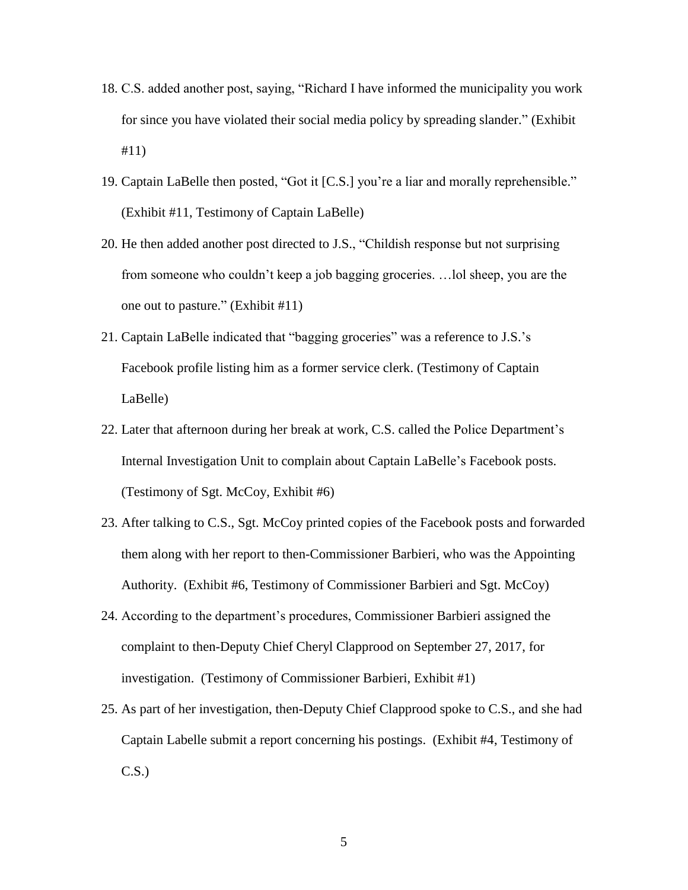- 18. C.S. added another post, saying, "Richard I have informed the municipality you work for since you have violated their social media policy by spreading slander." (Exhibit #11)
- 19. Captain LaBelle then posted, "Got it [C.S.] you're a liar and morally reprehensible." (Exhibit #11, Testimony of Captain LaBelle)
- 20. He then added another post directed to J.S., "Childish response but not surprising from someone who couldn't keep a job bagging groceries. …lol sheep, you are the one out to pasture." (Exhibit #11)
- 21. Captain LaBelle indicated that "bagging groceries" was a reference to J.S.'s Facebook profile listing him as a former service clerk. (Testimony of Captain LaBelle)
- 22. Later that afternoon during her break at work, C.S. called the Police Department's Internal Investigation Unit to complain about Captain LaBelle's Facebook posts. (Testimony of Sgt. McCoy, Exhibit #6)
- 23. After talking to C.S., Sgt. McCoy printed copies of the Facebook posts and forwarded them along with her report to then-Commissioner Barbieri, who was the Appointing Authority. (Exhibit #6, Testimony of Commissioner Barbieri and Sgt. McCoy)
- 24. According to the department's procedures, Commissioner Barbieri assigned the complaint to then-Deputy Chief Cheryl Clapprood on September 27, 2017, for investigation. (Testimony of Commissioner Barbieri, Exhibit #1)
- 25. As part of her investigation, then-Deputy Chief Clapprood spoke to C.S., and she had Captain Labelle submit a report concerning his postings. (Exhibit #4, Testimony of C.S.)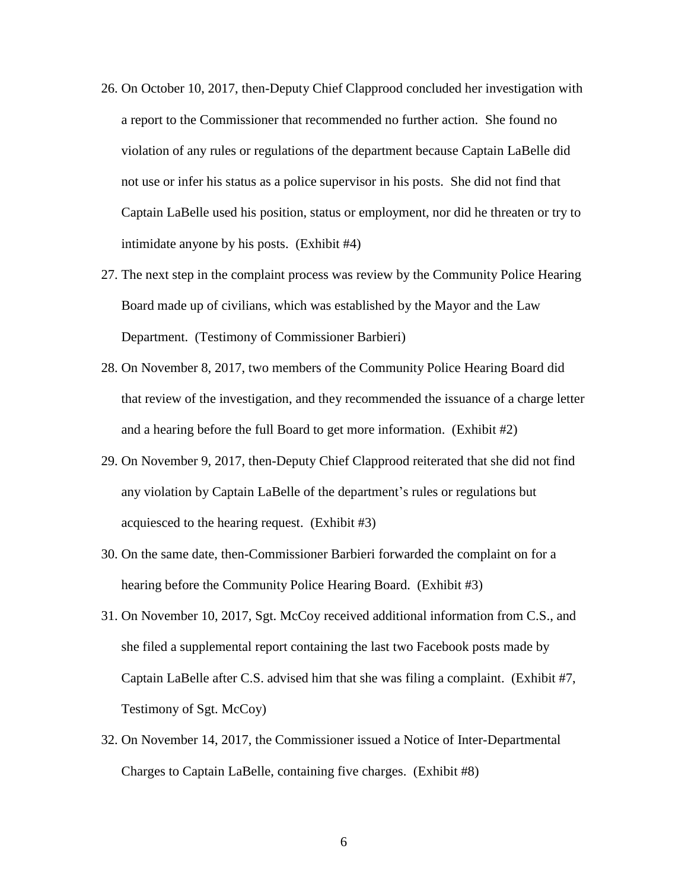- 26. On October 10, 2017, then-Deputy Chief Clapprood concluded her investigation with a report to the Commissioner that recommended no further action. She found no violation of any rules or regulations of the department because Captain LaBelle did not use or infer his status as a police supervisor in his posts. She did not find that Captain LaBelle used his position, status or employment, nor did he threaten or try to intimidate anyone by his posts. (Exhibit #4)
- 27. The next step in the complaint process was review by the Community Police Hearing Board made up of civilians, which was established by the Mayor and the Law Department. (Testimony of Commissioner Barbieri)
- 28. On November 8, 2017, two members of the Community Police Hearing Board did that review of the investigation, and they recommended the issuance of a charge letter and a hearing before the full Board to get more information. (Exhibit #2)
- 29. On November 9, 2017, then-Deputy Chief Clapprood reiterated that she did not find any violation by Captain LaBelle of the department's rules or regulations but acquiesced to the hearing request. (Exhibit #3)
- 30. On the same date, then-Commissioner Barbieri forwarded the complaint on for a hearing before the Community Police Hearing Board. (Exhibit #3)
- 31. On November 10, 2017, Sgt. McCoy received additional information from C.S., and she filed a supplemental report containing the last two Facebook posts made by Captain LaBelle after C.S. advised him that she was filing a complaint. (Exhibit #7, Testimony of Sgt. McCoy)
- 32. On November 14, 2017, the Commissioner issued a Notice of Inter-Departmental Charges to Captain LaBelle, containing five charges. (Exhibit #8)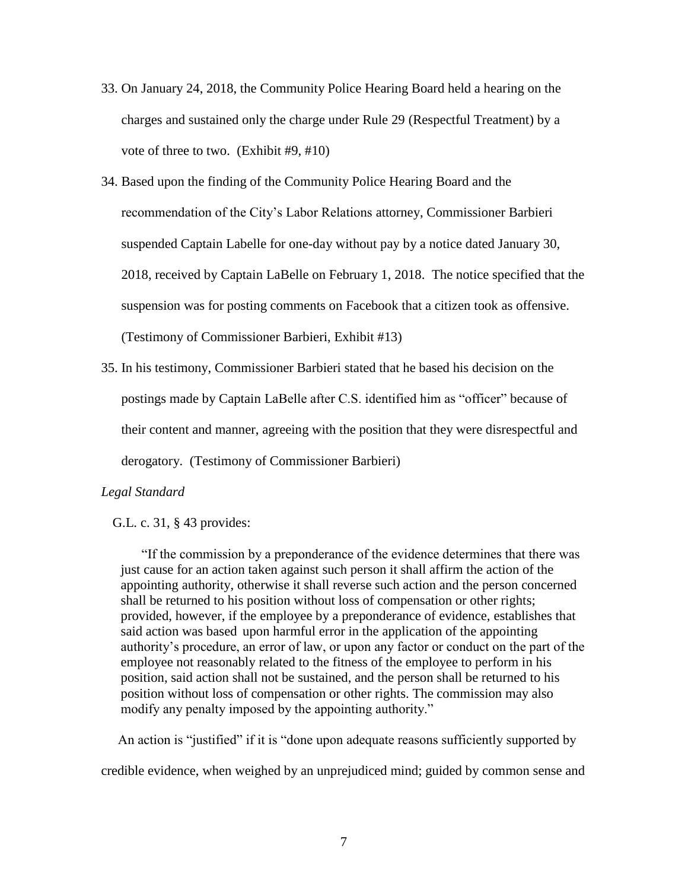- 33. On January 24, 2018, the Community Police Hearing Board held a hearing on the charges and sustained only the charge under Rule 29 (Respectful Treatment) by a vote of three to two. (Exhibit #9, #10)
- 34. Based upon the finding of the Community Police Hearing Board and the recommendation of the City's Labor Relations attorney, Commissioner Barbieri suspended Captain Labelle for one-day without pay by a notice dated January 30, 2018, received by Captain LaBelle on February 1, 2018. The notice specified that the suspension was for posting comments on Facebook that a citizen took as offensive. (Testimony of Commissioner Barbieri, Exhibit #13)
- 35. In his testimony, Commissioner Barbieri stated that he based his decision on the postings made by Captain LaBelle after C.S. identified him as "officer" because of their content and manner, agreeing with the position that they were disrespectful and derogatory. (Testimony of Commissioner Barbieri)

# *Legal Standard*

## G.L. c. 31, § 43 provides:

"If the commission by a preponderance of the evidence determines that there was just cause for an action taken against such person it shall affirm the action of the appointing authority, otherwise it shall reverse such action and the person concerned shall be returned to his position without loss of compensation or other rights; provided, however, if the employee by a preponderance of evidence, establishes that said action was based upon harmful error in the application of the appointing authority's procedure, an error of law, or upon any factor or conduct on the part of the employee not reasonably related to the fitness of the employee to perform in his position, said action shall not be sustained, and the person shall be returned to his position without loss of compensation or other rights. The commission may also modify any penalty imposed by the appointing authority."

 An action is "justified" if it is "done upon adequate reasons sufficiently supported by credible evidence, when weighed by an unprejudiced mind; guided by common sense and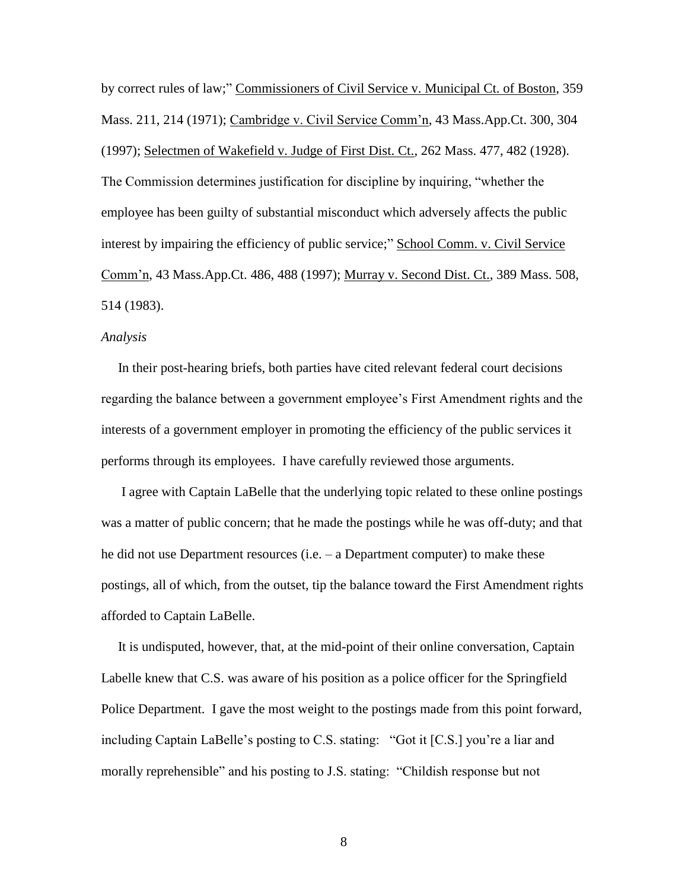by correct rules of law;" Commissioners of Civil Service v. Municipal Ct. of Boston, 359 Mass. 211, 214 (1971); Cambridge v. Civil Service Comm'n, 43 Mass.App.Ct. 300, 304 (1997); Selectmen of Wakefield v. Judge of First Dist. Ct., 262 Mass. 477, 482 (1928). The Commission determines justification for discipline by inquiring, "whether the employee has been guilty of substantial misconduct which adversely affects the public interest by impairing the efficiency of public service;" School Comm. v. Civil Service Comm'n, 43 Mass.App.Ct. 486, 488 (1997); Murray v. Second Dist. Ct., 389 Mass. 508, 514 (1983).

## *Analysis*

 In their post-hearing briefs, both parties have cited relevant federal court decisions regarding the balance between a government employee's First Amendment rights and the interests of a government employer in promoting the efficiency of the public services it performs through its employees. I have carefully reviewed those arguments.

 I agree with Captain LaBelle that the underlying topic related to these online postings was a matter of public concern; that he made the postings while he was off-duty; and that he did not use Department resources (i.e. – a Department computer) to make these postings, all of which, from the outset, tip the balance toward the First Amendment rights afforded to Captain LaBelle.

 It is undisputed, however, that, at the mid-point of their online conversation, Captain Labelle knew that C.S. was aware of his position as a police officer for the Springfield Police Department. I gave the most weight to the postings made from this point forward, including Captain LaBelle's posting to C.S. stating: "Got it [C.S.] you're a liar and morally reprehensible" and his posting to J.S. stating: "Childish response but not

8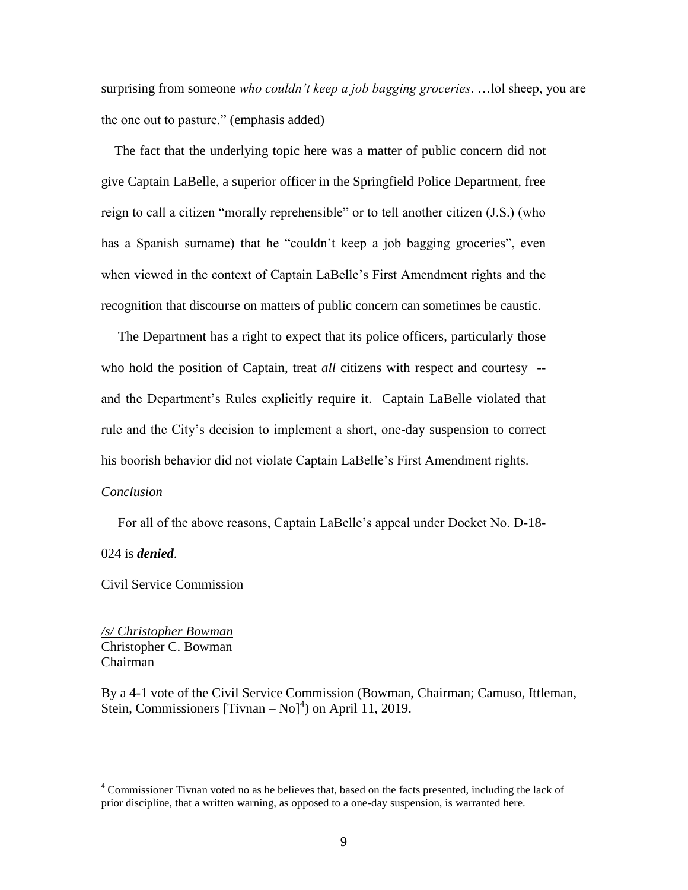surprising from someone *who couldn't keep a job bagging groceries*. …lol sheep, you are the one out to pasture." (emphasis added)

 The fact that the underlying topic here was a matter of public concern did not give Captain LaBelle, a superior officer in the Springfield Police Department, free reign to call a citizen "morally reprehensible" or to tell another citizen (J.S.) (who has a Spanish surname) that he "couldn't keep a job bagging groceries", even when viewed in the context of Captain LaBelle's First Amendment rights and the recognition that discourse on matters of public concern can sometimes be caustic.

 The Department has a right to expect that its police officers, particularly those who hold the position of Captain, treat *all* citizens with respect and courtesy -and the Department's Rules explicitly require it. Captain LaBelle violated that rule and the City's decision to implement a short, one-day suspension to correct his boorish behavior did not violate Captain LaBelle's First Amendment rights.

## *Conclusion*

For all of the above reasons, Captain LaBelle's appeal under Docket No. D-18-

024 is *denied*.

 $\overline{a}$ 

Civil Service Commission

*/s/ Christopher Bowman* Christopher C. Bowman Chairman

By a 4-1 vote of the Civil Service Commission (Bowman, Chairman; Camuso, Ittleman, Stein, Commissioners [Tivnan  $-$  No]<sup>4</sup>) on April 11, 2019.

<sup>4</sup> Commissioner Tivnan voted no as he believes that, based on the facts presented, including the lack of prior discipline, that a written warning, as opposed to a one-day suspension, is warranted here.